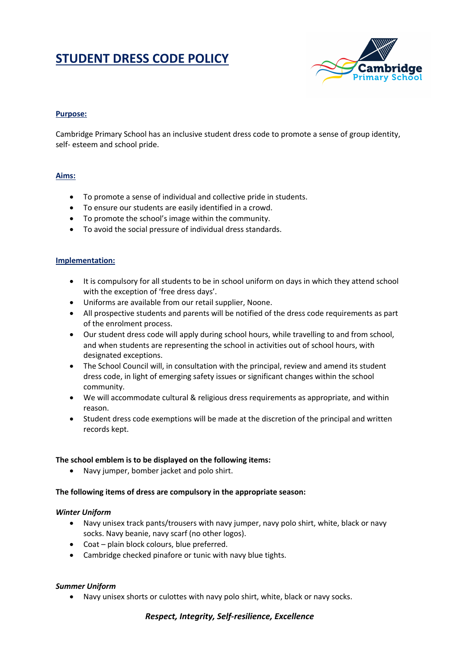# **STUDENT DRESS CODE POLICY**



## **Purpose:**

Cambridge Primary School has an inclusive student dress code to promote a sense of group identity, self- esteem and school pride.

#### **Aims:**

- To promote a sense of individual and collective pride in students.
- To ensure our students are easily identified in a crowd.
- To promote the school's image within the community.
- To avoid the social pressure of individual dress standards.

#### **Implementation:**

- It is compulsory for all students to be in school uniform on days in which they attend school with the exception of 'free dress days'.
- Uniforms are available from our retail supplier, Noone.
- All prospective students and parents will be notified of the dress code requirements as part of the enrolment process.
- Our student dress code will apply during school hours, while travelling to and from school, and when students are representing the school in activities out of school hours, with designated exceptions.
- The School Council will, in consultation with the principal, review and amend its student dress code, in light of emerging safety issues or significant changes within the school community.
- We will accommodate cultural & religious dress requirements as appropriate, and within reason.
- Student dress code exemptions will be made at the discretion of the principal and written records kept.

#### **The school emblem is to be displayed on the following items:**

• Navy jumper, bomber jacket and polo shirt.

#### **The following items of dress are compulsory in the appropriate season:**

#### *Winter Uniform*

- Navy unisex track pants/trousers with navy jumper, navy polo shirt, white, black or navy socks. Navy beanie, navy scarf (no other logos).
- Coat plain block colours, blue preferred.
- Cambridge checked pinafore or tunic with navy blue tights.

#### *Summer Uniform*

• Navy unisex shorts or culottes with navy polo shirt, white, black or navy socks.

#### *Respect, Integrity, Self-resilience, Excellence*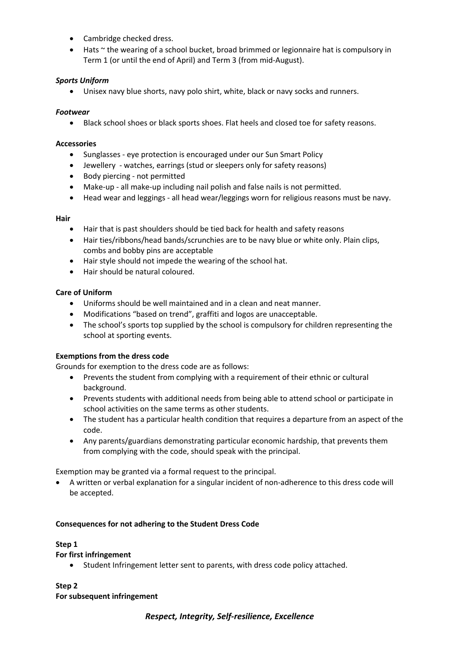- Cambridge checked dress.
- Hats ~ the wearing of a school bucket, broad brimmed or legionnaire hat is compulsory in Term 1 (or until the end of April) and Term 3 (from mid-August).

# *Sports Uniform*

• Unisex navy blue shorts, navy polo shirt, white, black or navy socks and runners.

## *Footwear*

• Black school shoes or black sports shoes. Flat heels and closed toe for safety reasons.

#### **Accessories**

- Sunglasses eye protection is encouraged under our Sun Smart Policy
- Jewellery watches, earrings (stud or sleepers only for safety reasons)
- Body piercing not permitted
- Make-up all make-up including nail polish and false nails is not permitted.
- Head wear and leggings all head wear/leggings worn for religious reasons must be navy.

#### **Hair**

- Hair that is past shoulders should be tied back for health and safety reasons
- Hair ties/ribbons/head bands/scrunchies are to be navy blue or white only. Plain clips, combs and bobby pins are acceptable
- Hair style should not impede the wearing of the school hat.
- Hair should be natural coloured.

## **Care of Uniform**

- Uniforms should be well maintained and in a clean and neat manner.
- Modifications "based on trend", graffiti and logos are unacceptable.
- The school's sports top supplied by the school is compulsory for children representing the school at sporting events.

# **Exemptions from the dress code**

Grounds for exemption to the dress code are as follows:

- Prevents the student from complying with a requirement of their ethnic or cultural background.
- Prevents students with additional needs from being able to attend school or participate in school activities on the same terms as other students.
- The student has a particular health condition that requires a departure from an aspect of the code.
- Any parents/guardians demonstrating particular economic hardship, that prevents them from complying with the code, should speak with the principal.

Exemption may be granted via a formal request to the principal.

• A written or verbal explanation for a singular incident of non-adherence to this dress code will be accepted.

#### **Consequences for not adhering to the Student Dress Code**

#### **Step 1**

#### **For first infringement**

• Student Infringement letter sent to parents, with dress code policy attached.

#### **Step 2 For subsequent infringement**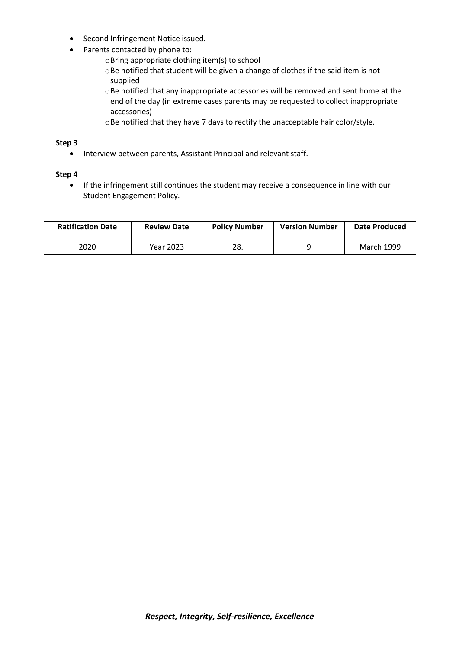- Second Infringement Notice issued.
- Parents contacted by phone to:
	- oBring appropriate clothing item(s) to school
	- oBe notified that student will be given a change of clothes if the said item is not supplied
	- $\circ$ Be notified that any inappropriate accessories will be removed and sent home at the end of the day (in extreme cases parents may be requested to collect inappropriate accessories)
	- oBe notified that they have 7 days to rectify the unacceptable hair color/style.

#### **Step 3**

• Interview between parents, Assistant Principal and relevant staff.

#### **Step 4**

• If the infringement still continues the student may receive a consequence in line with our Student Engagement Policy.

| <b>Ratification Date</b> | <b>Review Date</b> | <b>Policy Number</b> | <b>Version Number</b> | Date Produced |
|--------------------------|--------------------|----------------------|-----------------------|---------------|
| 2020                     | Year 2023          | 28.                  |                       | March 1999    |